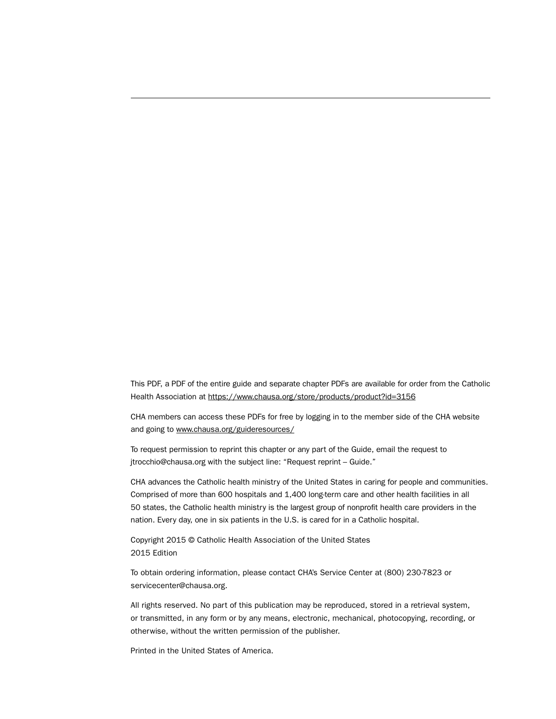This PDF, a PDF of the entire guide and separate chapter PDFs are available for order from the Catholic Health Association at<https://www.chausa.org/store/products/product?id=3156>

CHA members can access these PDFs for free by logging in to the member side of the CHA website and going to<www.chausa.org/guideresources/>

To request permission to reprint this chapter or any part of the Guide, email the request to jtrocchio@chausa.org with the subject line: "Request reprint – Guide."

CHA advances the Catholic health ministry of the United States in caring for people and communities. Comprised of more than 600 hospitals and 1,400 long-term care and other health facilities in all 50 states, the Catholic health ministry is the largest group of nonprofit health care providers in the nation. Every day, one in six patients in the U.S. is cared for in a Catholic hospital.

Copyright 2015 © Catholic Health Association of the United States 2015 Edition

To obtain ordering information, please contact CHA's Service Center at (800) 230-7823 or servicecenter@chausa.org.

All rights reserved. No part of this publication may be reproduced, stored in a retrieval system, or transmitted, in any form or by any means, electronic, mechanical, photocopying, recording, or otherwise, without the written permission of the publisher.

Printed in the United States of America.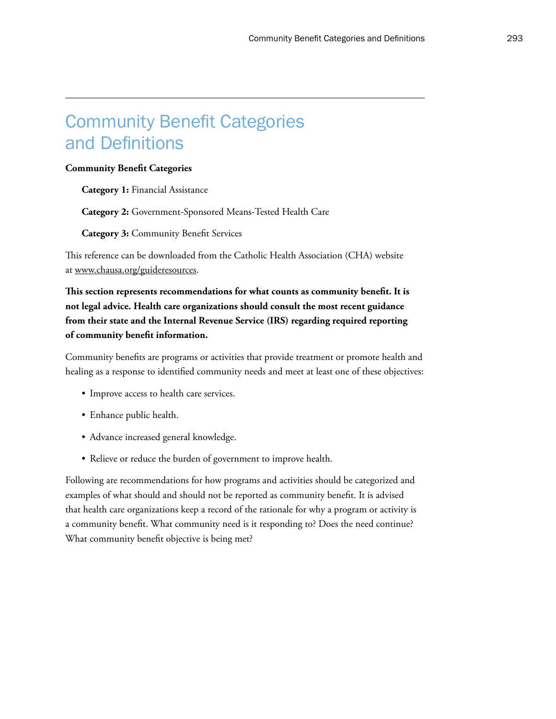## Community Benefit Categories and Definitions

#### **Community Benefit Categories**

**Category 1:** Financial Assistance

**Category 2:** Government-Sponsored Means-Tested Health Care

**Category 3:** Community Benefit Services

This reference can be downloaded from the Catholic Health Association (CHA) website at <www.chausa.org/guideresources>.

**This section represents recommendations for what counts as community benefit. It is not legal advice. Health care organizations should consult the most recent guidance from their state and the Internal Revenue Service (IRS) regarding required reporting of community benefit information.**

Community benefits are programs or activities that provide treatment or promote health and healing as a response to identified community needs and meet at least one of these objectives:

- Improve access to health care services.
- Enhance public health.
- Advance increased general knowledge.
- Relieve or reduce the burden of government to improve health.

Following are recommendations for how programs and activities should be categorized and examples of what should and should not be reported as community benefit. It is advised that health care organizations keep a record of the rationale for why a program or activity is a community benefit. What community need is it responding to? Does the need continue? What community benefit objective is being met?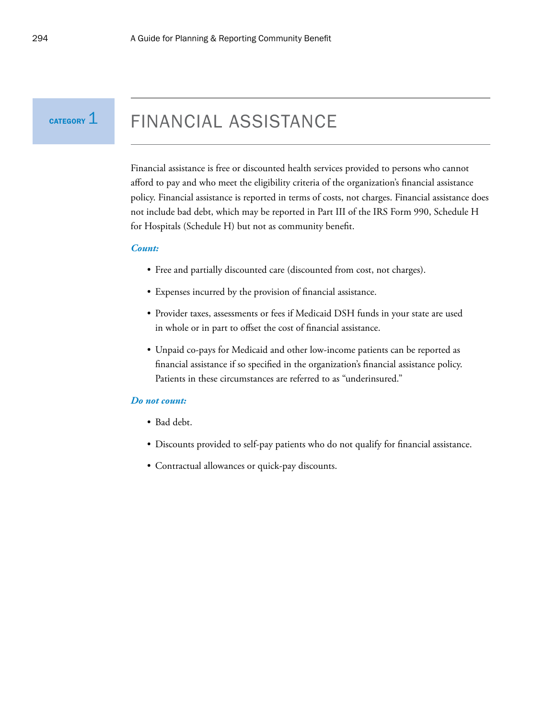$C$ ATEGORY  $1$ 

## FINANCIAL ASSISTANCE

Financial assistance is free or discounted health services provided to persons who cannot afford to pay and who meet the eligibility criteria of the organization's financial assistance policy. Financial assistance is reported in terms of costs, not charges. Financial assistance does not include bad debt, which may be reported in Part III of the IRS Form 990, Schedule H for Hospitals (Schedule H) but not as community benefit.

#### *Count:*

- Free and partially discounted care (discounted from cost, not charges).
- Expenses incurred by the provision of financial assistance.
- Provider taxes, assessments or fees if Medicaid DSH funds in your state are used in whole or in part to offset the cost of financial assistance.
- Unpaid co-pays for Medicaid and other low-income patients can be reported as financial assistance if so specified in the organization's financial assistance policy. Patients in these circumstances are referred to as "underinsured."

- Bad debt.
- Discounts provided to self-pay patients who do not qualify for financial assistance.
- Contractual allowances or quick-pay discounts.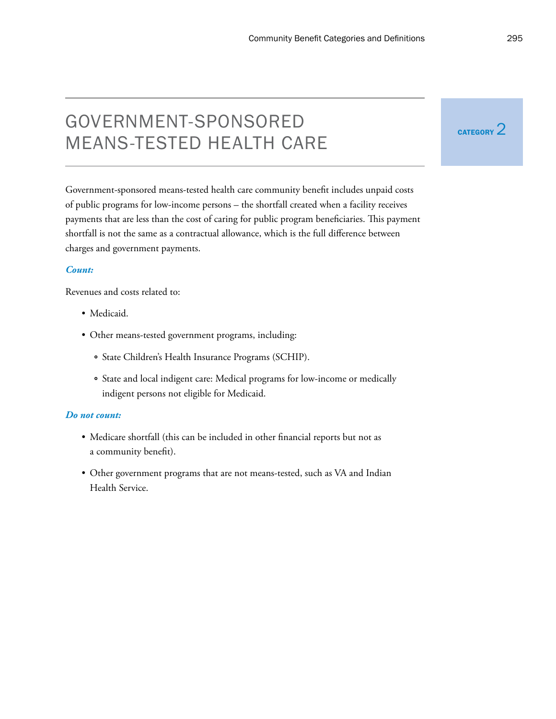# GOVERNMENT-SPONSORED EXTERNAL CATEGORY 2 MEANS-TESTED HEALTH CARE

Government-sponsored means-tested health care community benefit includes unpaid costs of public programs for low-income persons – the shortfall created when a facility receives payments that are less than the cost of caring for public program beneficiaries. This payment shortfall is not the same as a contractual allowance, which is the full difference between charges and government payments.

## *Count:*

Revenues and costs related to:

- Medicaid.
- Other means-tested government programs, including:
	- ° State Children's Health Insurance Programs (SCHIP).
	- ° State and local indigent care: Medical programs for low-income or medically indigent persons not eligible for Medicaid.

- Medicare shortfall (this can be included in other financial reports but not as a community benefit).
- Other government programs that are not means-tested, such as VA and Indian Health Service.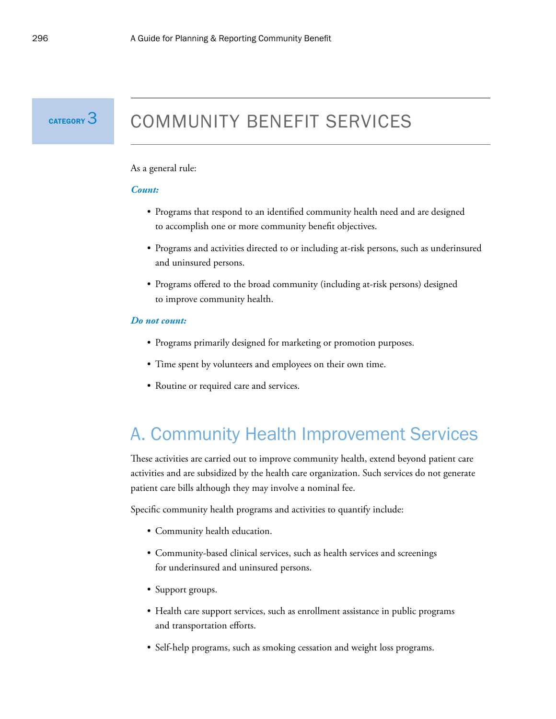

# COMMUNITY BENEFIT SERVICES

#### As a general rule:

#### *Count:*

- Programs that respond to an identified community health need and are designed to accomplish one or more community benefit objectives.
- Programs and activities directed to or including at-risk persons, such as underinsured and uninsured persons.
- Programs offered to the broad community (including at-risk persons) designed to improve community health.

#### *Do not count:*

- Programs primarily designed for marketing or promotion purposes.
- Time spent by volunteers and employees on their own time.
- Routine or required care and services.

## A. Community Health Improvement Services

These activities are carried out to improve community health, extend beyond patient care activities and are subsidized by the health care organization. Such services do not generate patient care bills although they may involve a nominal fee.

Specific community health programs and activities to quantify include:

- Community health education.
- Community-based clinical services, such as health services and screenings for underinsured and uninsured persons.
- Support groups.
- Health care support services, such as enrollment assistance in public programs and transportation efforts.
- Self-help programs, such as smoking cessation and weight loss programs.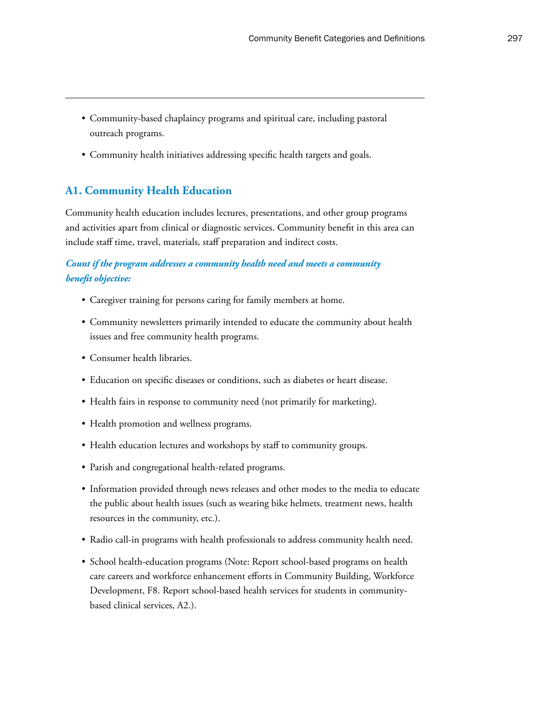- Community-based chaplaincy programs and spiritual care, including pastoral outreach programs.
- Community health initiatives addressing specific health targets and goals.

## **A1. Community Health Education**

Community health education includes lectures, presentations, and other group programs and activities apart from clinical or diagnostic services. Community benefit in this area can include staff time, travel, materials, staff preparation and indirect costs.

## *Count if the program addresses a community health need and meets a community benefit objective:*

- Caregiver training for persons caring for family members at home.
- Community newsletters primarily intended to educate the community about health issues and free community health programs.
- Consumer health libraries.
- Education on specific diseases or conditions, such as diabetes or heart disease.
- Health fairs in response to community need (not primarily for marketing).
- Health promotion and wellness programs.
- Health education lectures and workshops by staff to community groups.
- Parish and congregational health-related programs.
- Information provided through news releases and other modes to the media to educate the public about health issues (such as wearing bike helmets, treatment news, health resources in the community, etc.).
- Radio call-in programs with health professionals to address community health need.
- School health-education programs (Note: Report school-based programs on health care careers and workforce enhancement efforts in Community Building, Workforce Development, F8. Report school-based health services for students in communitybased clinical services, A2.).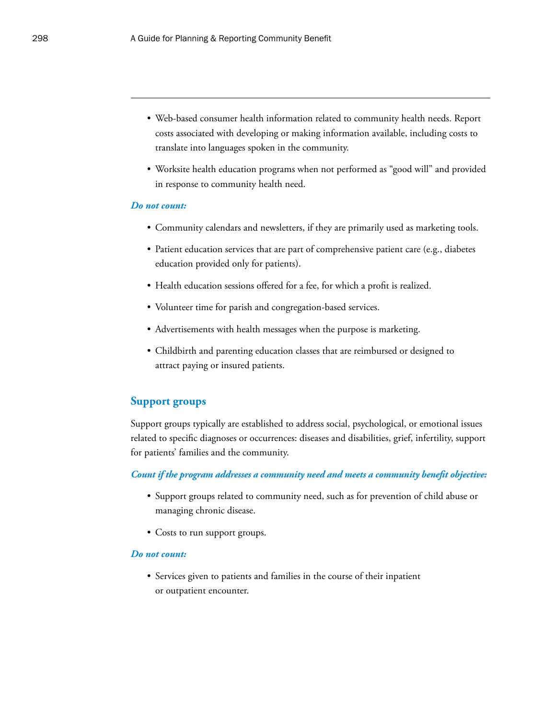- Web-based consumer health information related to community health needs. Report costs associated with developing or making information available, including costs to translate into languages spoken in the community.
- Worksite health education programs when not performed as "good will" and provided in response to community health need.

- Community calendars and newsletters, if they are primarily used as marketing tools.
- Patient education services that are part of comprehensive patient care (e.g., diabetes education provided only for patients).
- Health education sessions offered for a fee, for which a profit is realized.
- Volunteer time for parish and congregation-based services.
- Advertisements with health messages when the purpose is marketing.
- Childbirth and parenting education classes that are reimbursed or designed to attract paying or insured patients.

#### **Support groups**

Support groups typically are established to address social, psychological, or emotional issues related to specific diagnoses or occurrences: diseases and disabilities, grief, infertility, support for patients' families and the community.

#### *Count if the program addresses a community need and meets a community benefit objective:*

- Support groups related to community need, such as for prevention of child abuse or managing chronic disease.
- Costs to run support groups.

#### *Do not count:*

• Services given to patients and families in the course of their inpatient or outpatient encounter.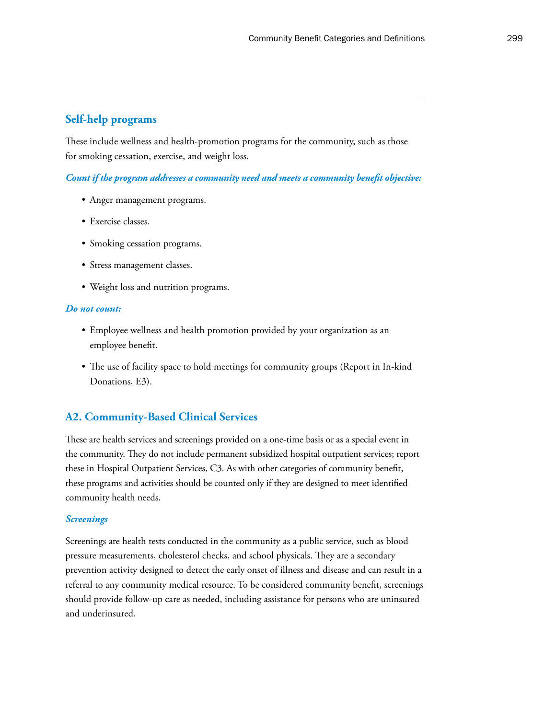## **Self-help programs**

These include wellness and health-promotion programs for the community, such as those for smoking cessation, exercise, and weight loss.

*Count if the program addresses a community need and meets a community benefit objective:*

- Anger management programs.
- Exercise classes.
- Smoking cessation programs.
- Stress management classes.
- Weight loss and nutrition programs.

#### *Do not count:*

- Employee wellness and health promotion provided by your organization as an employee benefit.
- The use of facility space to hold meetings for community groups (Report in In-kind Donations, E3).

## **A2. Community-Based Clinical Services**

These are health services and screenings provided on a one-time basis or as a special event in the community. They do not include permanent subsidized hospital outpatient services; report these in Hospital Outpatient Services, C3. As with other categories of community benefit, these programs and activities should be counted only if they are designed to meet identified community health needs.

#### *Screenings*

Screenings are health tests conducted in the community as a public service, such as blood pressure measurements, cholesterol checks, and school physicals. They are a secondary prevention activity designed to detect the early onset of illness and disease and can result in a referral to any community medical resource. To be considered community benefit, screenings should provide follow-up care as needed, including assistance for persons who are uninsured and underinsured.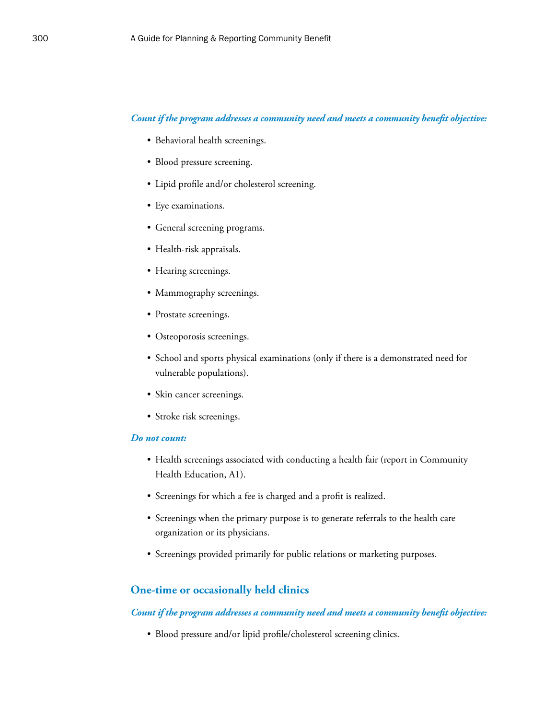#### *Count if the program addresses a community need and meets a community benefit objective:*

- Behavioral health screenings.
- Blood pressure screening.
- Lipid profile and/or cholesterol screening.
- Eye examinations.
- General screening programs.
- Health-risk appraisals.
- Hearing screenings.
- Mammography screenings.
- Prostate screenings.
- Osteoporosis screenings.
- School and sports physical examinations (only if there is a demonstrated need for vulnerable populations).
- Skin cancer screenings.
- Stroke risk screenings.

#### *Do not count:*

- Health screenings associated with conducting a health fair (report in Community Health Education, A1).
- Screenings for which a fee is charged and a profit is realized.
- Screenings when the primary purpose is to generate referrals to the health care organization or its physicians.
- Screenings provided primarily for public relations or marketing purposes.

#### **One-time or occasionally held clinics**

*Count if the program addresses a community need and meets a community benefit objective:*

• Blood pressure and/or lipid profile/cholesterol screening clinics.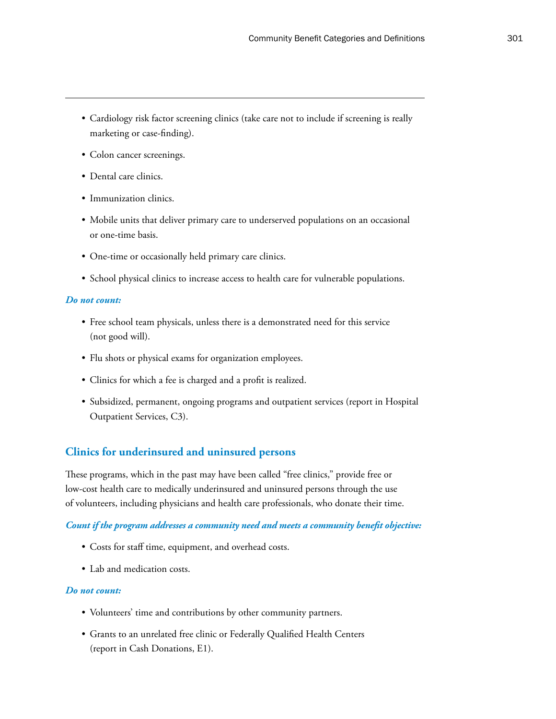- Cardiology risk factor screening clinics (take care not to include if screening is really marketing or case-finding).
- Colon cancer screenings.
- Dental care clinics.
- Immunization clinics.
- Mobile units that deliver primary care to underserved populations on an occasional or one-time basis.
- One-time or occasionally held primary care clinics.
- School physical clinics to increase access to health care for vulnerable populations.

- Free school team physicals, unless there is a demonstrated need for this service (not good will).
- Flu shots or physical exams for organization employees.
- Clinics for which a fee is charged and a profit is realized.
- Subsidized, permanent, ongoing programs and outpatient services (report in Hospital Outpatient Services, C3).

## **Clinics for underinsured and uninsured persons**

These programs, which in the past may have been called "free clinics," provide free or low-cost health care to medically underinsured and uninsured persons through the use of volunteers, including physicians and health care professionals, who donate their time.

#### *Count if the program addresses a community need and meets a community benefit objective:*

- Costs for staff time, equipment, and overhead costs.
- Lab and medication costs.

- Volunteers' time and contributions by other community partners.
- Grants to an unrelated free clinic or Federally Qualified Health Centers (report in Cash Donations, E1).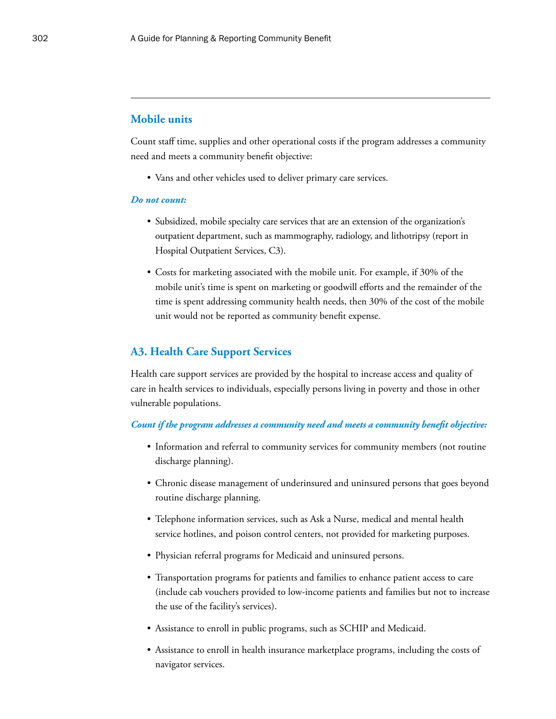## **Mobile units**

Count staff time, supplies and other operational costs if the program addresses a community need and meets a community benefit objective:

• Vans and other vehicles used to deliver primary care services.

#### *Do not count:*

- Subsidized, mobile specialty care services that are an extension of the organization's outpatient department, such as mammography, radiology, and lithotripsy (report in Hospital Outpatient Services, C3).
- Costs for marketing associated with the mobile unit. For example, if 30% of the mobile unit's time is spent on marketing or goodwill efforts and the remainder of the time is spent addressing community health needs, then 30% of the cost of the mobile unit would not be reported as community benefit expense.

## **A3. Health Care Support Services**

Health care support services are provided by the hospital to increase access and quality of care in health services to individuals, especially persons living in poverty and those in other vulnerable populations.

#### *Count if the program addresses a community need and meets a community benefit objective:*

- Information and referral to community services for community members (not routine discharge planning).
- Chronic disease management of underinsured and uninsured persons that goes beyond routine discharge planning.
- Telephone information services, such as Ask a Nurse, medical and mental health service hotlines, and poison control centers, not provided for marketing purposes.
- Physician referral programs for Medicaid and uninsured persons.
- Transportation programs for patients and families to enhance patient access to care (include cab vouchers provided to low-income patients and families but not to increase the use of the facility's services).
- Assistance to enroll in public programs, such as SCHIP and Medicaid.
- Assistance to enroll in health insurance marketplace programs, including the costs of navigator services.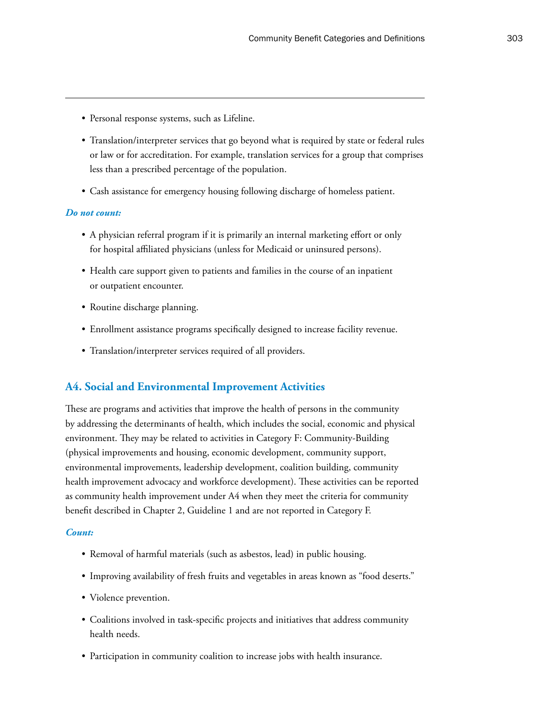- Personal response systems, such as Lifeline.
- Translation/interpreter services that go beyond what is required by state or federal rules or law or for accreditation. For example, translation services for a group that comprises less than a prescribed percentage of the population.
- Cash assistance for emergency housing following discharge of homeless patient.

- A physician referral program if it is primarily an internal marketing effort or only for hospital affiliated physicians (unless for Medicaid or uninsured persons).
- Health care support given to patients and families in the course of an inpatient or outpatient encounter.
- Routine discharge planning.
- Enrollment assistance programs specifically designed to increase facility revenue.
- Translation/interpreter services required of all providers.

## **A4. Social and Environmental Improvement Activities**

These are programs and activities that improve the health of persons in the community by addressing the determinants of health, which includes the social, economic and physical environment. They may be related to activities in Category F: Community-Building (physical improvements and housing, economic development, community support, environmental improvements, leadership development, coalition building, community health improvement advocacy and workforce development). These activities can be reported as community health improvement under A4 when they meet the criteria for community benefit described in Chapter 2, Guideline 1 and are not reported in Category F.

#### *Count:*

- Removal of harmful materials (such as asbestos, lead) in public housing.
- Improving availability of fresh fruits and vegetables in areas known as "food deserts."
- Violence prevention.
- Coalitions involved in task-specific projects and initiatives that address community health needs.
- Participation in community coalition to increase jobs with health insurance.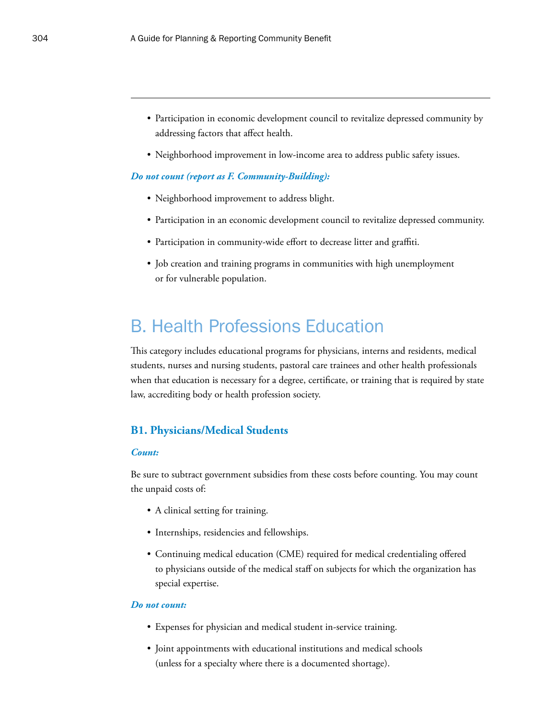- Participation in economic development council to revitalize depressed community by addressing factors that affect health.
- Neighborhood improvement in low-income area to address public safety issues.

#### *Do not count (report as F. Community-Building):*

- Neighborhood improvement to address blight.
- Participation in an economic development council to revitalize depressed community.
- Participation in community-wide effort to decrease litter and graffiti.
- Job creation and training programs in communities with high unemployment or for vulnerable population.

## B. Health Professions Education

This category includes educational programs for physicians, interns and residents, medical students, nurses and nursing students, pastoral care trainees and other health professionals when that education is necessary for a degree, certificate, or training that is required by state law, accrediting body or health profession society.

## **B1. Physicians/Medical Students**

#### *Count:*

Be sure to subtract government subsidies from these costs before counting. You may count the unpaid costs of:

- A clinical setting for training.
- Internships, residencies and fellowships.
- Continuing medical education (CME) required for medical credentialing offered to physicians outside of the medical staff on subjects for which the organization has special expertise.

- Expenses for physician and medical student in-service training.
- Joint appointments with educational institutions and medical schools (unless for a specialty where there is a documented shortage).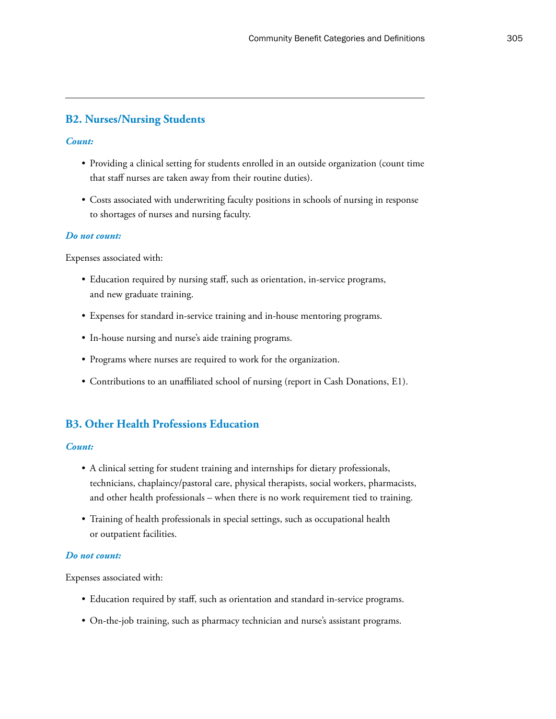## **B2. Nurses/Nursing Students**

#### *Count:*

- Providing a clinical setting for students enrolled in an outside organization (count time that staff nurses are taken away from their routine duties).
- Costs associated with underwriting faculty positions in schools of nursing in response to shortages of nurses and nursing faculty.

#### *Do not count:*

Expenses associated with:

- Education required by nursing staff, such as orientation, in-service programs, and new graduate training.
- Expenses for standard in-service training and in-house mentoring programs.
- In-house nursing and nurse's aide training programs.
- Programs where nurses are required to work for the organization.
- Contributions to an unaffiliated school of nursing (report in Cash Donations, E1).

## **B3. Other Health Professions Education**

#### *Count:*

- A clinical setting for student training and internships for dietary professionals, technicians, chaplaincy/pastoral care, physical therapists, social workers, pharmacists, and other health professionals – when there is no work requirement tied to training.
- Training of health professionals in special settings, such as occupational health or outpatient facilities.

#### *Do not count:*

Expenses associated with:

- Education required by staff, such as orientation and standard in-service programs.
- On-the-job training, such as pharmacy technician and nurse's assistant programs.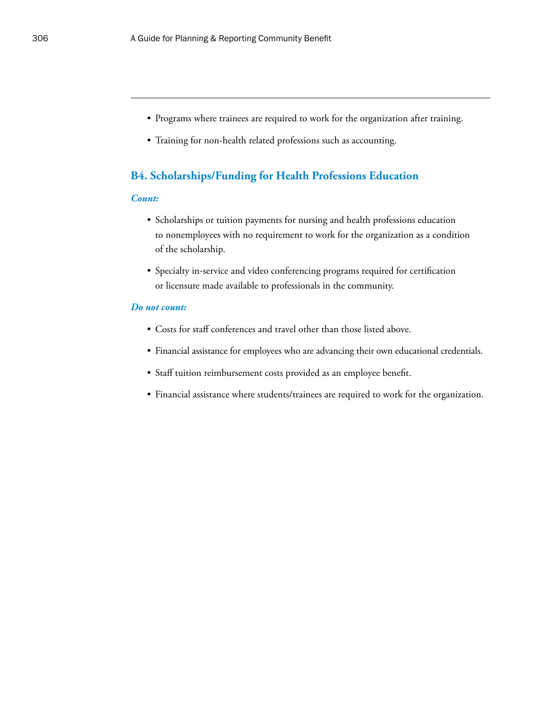- Programs where trainees are required to work for the organization after training.
- Training for non-health related professions such as accounting.

### **B4. Scholarships/Funding for Health Professions Education**

#### *Count:*

- Scholarships or tuition payments for nursing and health professions education to nonemployees with no requirement to work for the organization as a condition of the scholarship.
- Specialty in-service and video conferencing programs required for certification or licensure made available to professionals in the community.

- Costs for staff conferences and travel other than those listed above.
- Financial assistance for employees who are advancing their own educational credentials.
- Staff tuition reimbursement costs provided as an employee benefit.
- Financial assistance where students/trainees are required to work for the organization.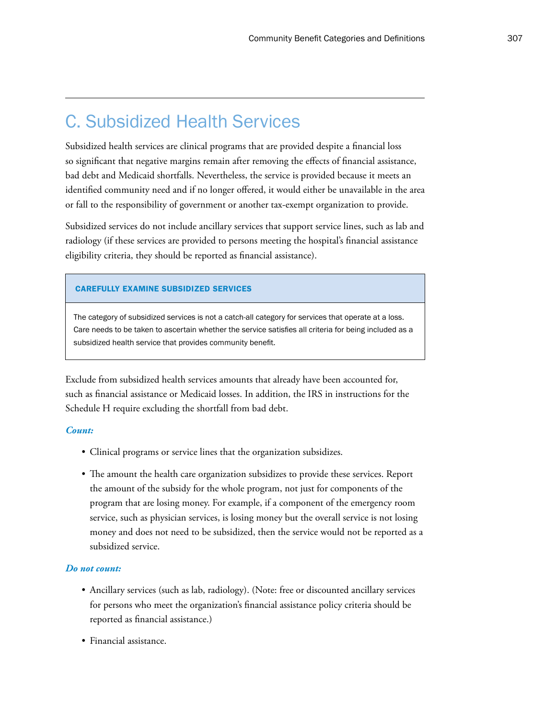## C. Subsidized Health Services

Subsidized health services are clinical programs that are provided despite a financial loss so significant that negative margins remain after removing the effects of financial assistance, bad debt and Medicaid shortfalls. Nevertheless, the service is provided because it meets an identified community need and if no longer offered, it would either be unavailable in the area or fall to the responsibility of government or another tax-exempt organization to provide.

Subsidized services do not include ancillary services that support service lines, such as lab and radiology (if these services are provided to persons meeting the hospital's financial assistance eligibility criteria, they should be reported as financial assistance).

#### CAREFULLY EXAMINE SUBSIDIZED SERVICES

The category of subsidized services is not a catch-all category for services that operate at a loss. Care needs to be taken to ascertain whether the service satisfies all criteria for being included as a subsidized health service that provides community benefit.

Exclude from subsidized health services amounts that already have been accounted for, such as financial assistance or Medicaid losses. In addition, the IRS in instructions for the Schedule H require excluding the shortfall from bad debt.

#### *Count:*

- Clinical programs or service lines that the organization subsidizes.
- The amount the health care organization subsidizes to provide these services. Report the amount of the subsidy for the whole program, not just for components of the program that are losing money. For example, if a component of the emergency room service, such as physician services, is losing money but the overall service is not losing money and does not need to be subsidized, then the service would not be reported as a subsidized service.

- Ancillary services (such as lab, radiology). (Note: free or discounted ancillary services for persons who meet the organization's financial assistance policy criteria should be reported as financial assistance.)
- Financial assistance.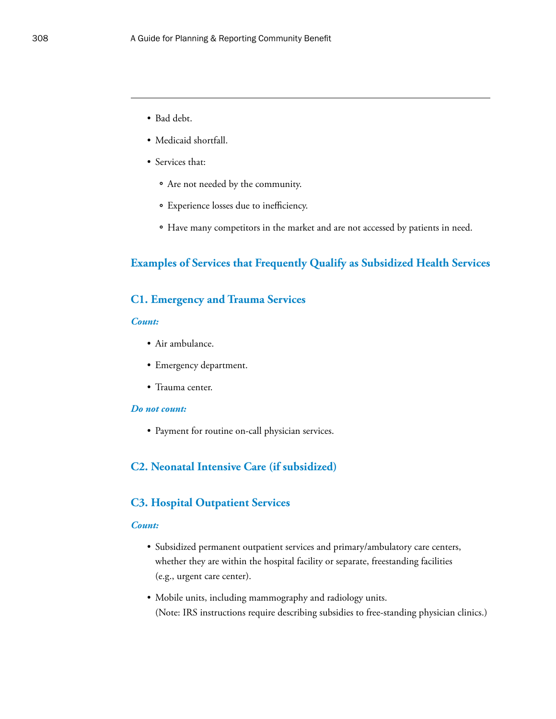- Bad debt.
- Medicaid shortfall.
- Services that:
	- ° Are not needed by the community.
	- ° Experience losses due to inefficiency.
	- ° Have many competitors in the market and are not accessed by patients in need.

## **Examples of Services that Frequently Qualify as Subsidized Health Services**

## **C1. Emergency and Trauma Services**

#### *Count:*

- Air ambulance.
- Emergency department.
- Trauma center.

## *Do not count:*

• Payment for routine on-call physician services.

## **C2. Neonatal Intensive Care (if subsidized)**

#### **C3. Hospital Outpatient Services**

#### *Count:*

- Subsidized permanent outpatient services and primary/ambulatory care centers, whether they are within the hospital facility or separate, freestanding facilities (e.g., urgent care center).
- Mobile units, including mammography and radiology units. (Note: IRS instructions require describing subsidies to free-standing physician clinics.)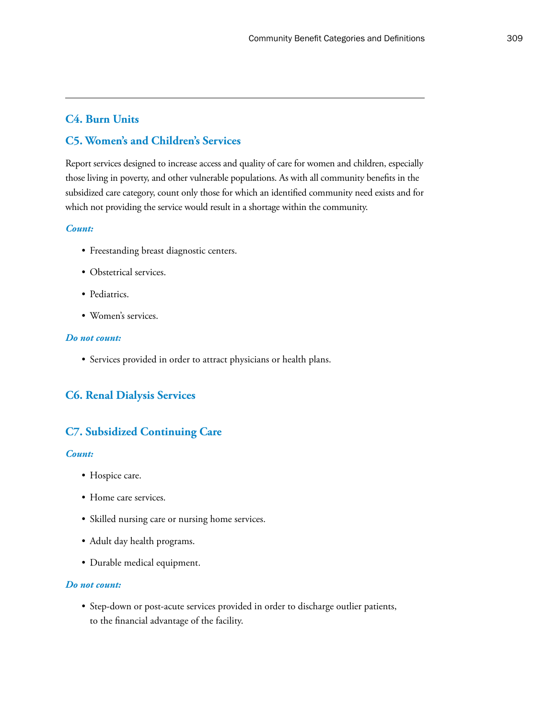## **C4. Burn Units**

## **C5. Women's and Children's Services**

Report services designed to increase access and quality of care for women and children, especially those living in poverty, and other vulnerable populations. As with all community benefits in the subsidized care category, count only those for which an identified community need exists and for which not providing the service would result in a shortage within the community.

#### *Count:*

- Freestanding breast diagnostic centers.
- Obstetrical services.
- Pediatrics.
- Women's services.

#### *Do not count:*

• Services provided in order to attract physicians or health plans.

## **C6. Renal Dialysis Services**

## **C7. Subsidized Continuing Care**

#### *Count:*

- Hospice care.
- Home care services.
- Skilled nursing care or nursing home services.
- Adult day health programs.
- Durable medical equipment.

#### *Do not count:*

• Step-down or post-acute services provided in order to discharge outlier patients, to the financial advantage of the facility.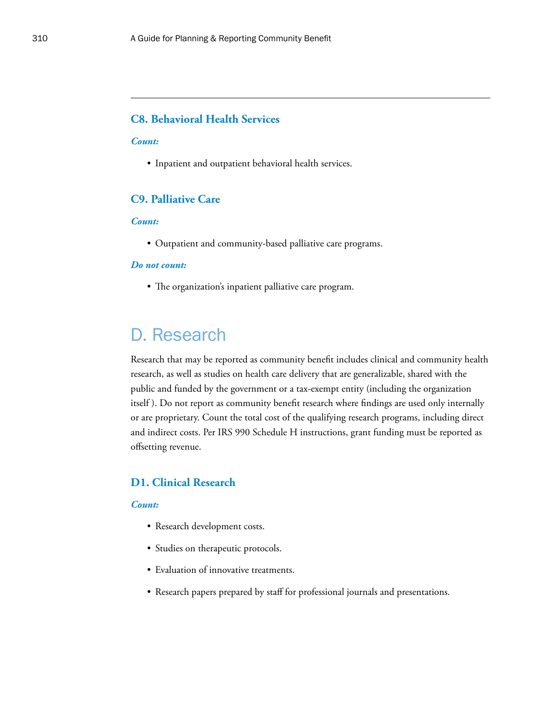## **C8. Behavioral Health Services**

#### *Count:*

• Inpatient and outpatient behavioral health services.

## **C9. Palliative Care**

#### *Count:*

• Outpatient and community-based palliative care programs.

#### *Do not count:*

• The organization's inpatient palliative care program.

## D. Research

Research that may be reported as community benefit includes clinical and community health research, as well as studies on health care delivery that are generalizable, shared with the public and funded by the government or a tax-exempt entity (including the organization itself ). Do not report as community benefit research where findings are used only internally or are proprietary. Count the total cost of the qualifying research programs, including direct and indirect costs. Per IRS 990 Schedule H instructions, grant funding must be reported as offsetting revenue.

#### **D1. Clinical Research**

#### *Count:*

- Research development costs.
- Studies on therapeutic protocols.
- Evaluation of innovative treatments.
- Research papers prepared by staff for professional journals and presentations.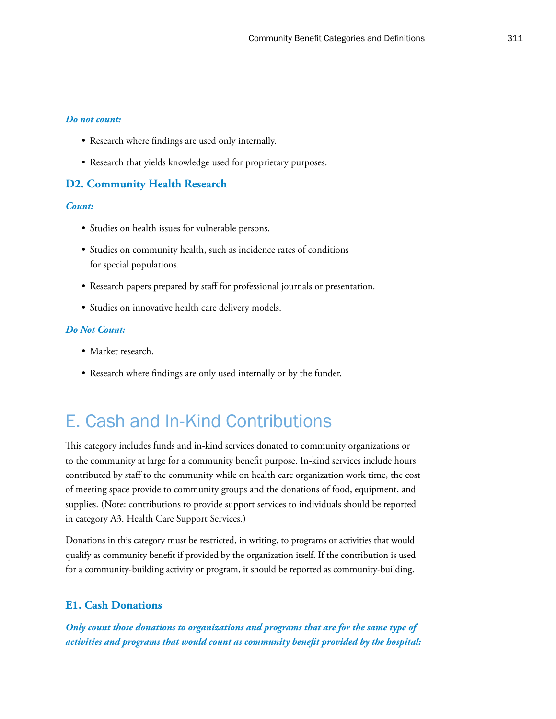- Research where findings are used only internally.
- Research that yields knowledge used for proprietary purposes.

#### **D2. Community Health Research**

#### *Count:*

- Studies on health issues for vulnerable persons.
- Studies on community health, such as incidence rates of conditions for special populations.
- Research papers prepared by staff for professional journals or presentation.
- Studies on innovative health care delivery models.

#### *Do Not Count:*

- Market research.
- Research where findings are only used internally or by the funder.

## E. Cash and In-Kind Contributions

This category includes funds and in-kind services donated to community organizations or to the community at large for a community benefit purpose. In-kind services include hours contributed by staff to the community while on health care organization work time, the cost of meeting space provide to community groups and the donations of food, equipment, and supplies. (Note: contributions to provide support services to individuals should be reported in category A3. Health Care Support Services.)

Donations in this category must be restricted, in writing, to programs or activities that would qualify as community benefit if provided by the organization itself. If the contribution is used for a community-building activity or program, it should be reported as community-building.

## **E1. Cash Donations**

*Only count those donations to organizations and programs that are for the same type of activities and programs that would count as community benefit provided by the hospital:*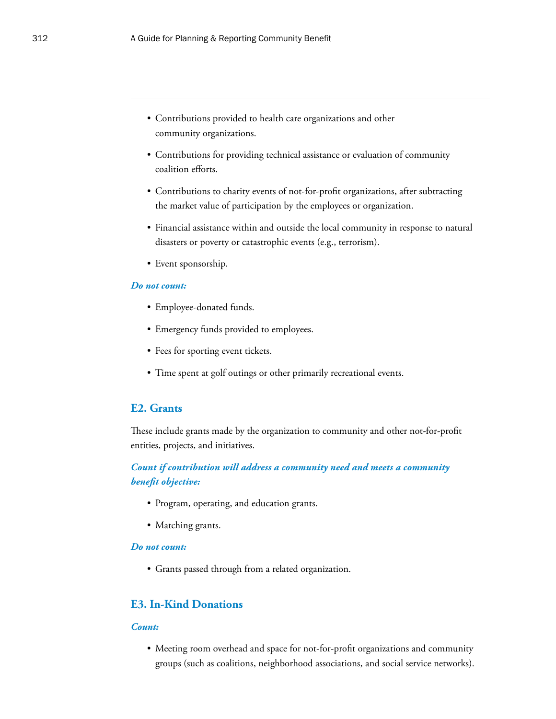- Contributions provided to health care organizations and other community organizations.
- Contributions for providing technical assistance or evaluation of community coalition efforts.
- Contributions to charity events of not-for-profit organizations, after subtracting the market value of participation by the employees or organization.
- Financial assistance within and outside the local community in response to natural disasters or poverty or catastrophic events (e.g., terrorism).
- Event sponsorship.

- Employee-donated funds.
- Emergency funds provided to employees.
- Fees for sporting event tickets.
- Time spent at golf outings or other primarily recreational events.

## **E2. Grants**

These include grants made by the organization to community and other not-for-profit entities, projects, and initiatives.

## *Count if contribution will address a community need and meets a community benefit objective:*

- Program, operating, and education grants.
- Matching grants.

#### *Do not count:*

• Grants passed through from a related organization.

## **E3. In-Kind Donations**

#### *Count:*

• Meeting room overhead and space for not-for-profit organizations and community groups (such as coalitions, neighborhood associations, and social service networks).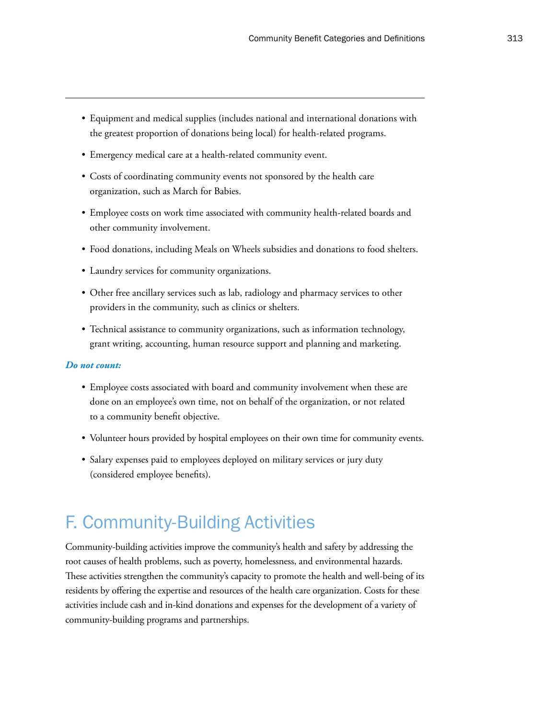- Equipment and medical supplies (includes national and international donations with the greatest proportion of donations being local) for health-related programs.
- Emergency medical care at a health-related community event.
- Costs of coordinating community events not sponsored by the health care organization, such as March for Babies.
- Employee costs on work time associated with community health-related boards and other community involvement.
- Food donations, including Meals on Wheels subsidies and donations to food shelters.
- Laundry services for community organizations.
- Other free ancillary services such as lab, radiology and pharmacy services to other providers in the community, such as clinics or shelters.
- Technical assistance to community organizations, such as information technology, grant writing, accounting, human resource support and planning and marketing.

- Employee costs associated with board and community involvement when these are done on an employee's own time, not on behalf of the organization, or not related to a community benefit objective.
- Volunteer hours provided by hospital employees on their own time for community events.
- Salary expenses paid to employees deployed on military services or jury duty (considered employee benefits).

## F. Community-Building Activities

Community-building activities improve the community's health and safety by addressing the root causes of health problems, such as poverty, homelessness, and environmental hazards. These activities strengthen the community's capacity to promote the health and well-being of its residents by offering the expertise and resources of the health care organization. Costs for these activities include cash and in-kind donations and expenses for the development of a variety of community-building programs and partnerships.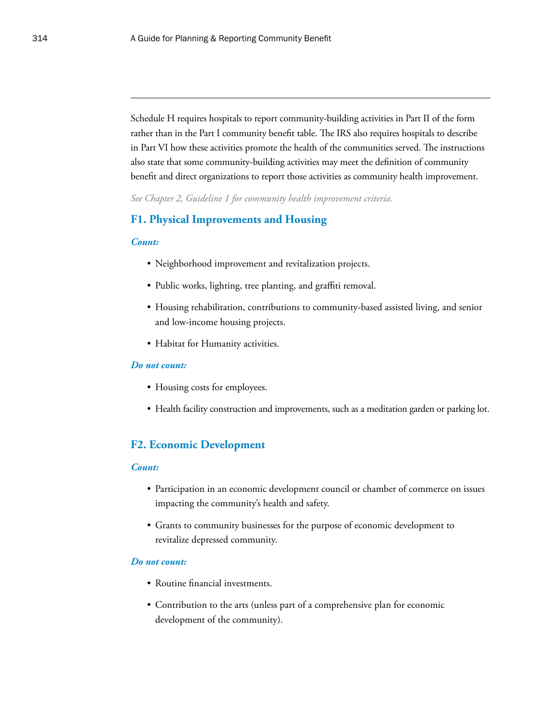Schedule H requires hospitals to report community-building activities in Part II of the form rather than in the Part I community benefit table. The IRS also requires hospitals to describe in Part VI how these activities promote the health of the communities served. The instructions also state that some community-building activities may meet the definition of community benefit and direct organizations to report those activities as community health improvement.

*See Chapter 2, Guideline 1 for community health improvement criteria.*

## **F1. Physical Improvements and Housing**

#### *Count:*

- Neighborhood improvement and revitalization projects.
- Public works, lighting, tree planting, and graffiti removal.
- Housing rehabilitation, contributions to community-based assisted living, and senior and low-income housing projects.
- Habitat for Humanity activities.

#### *Do not count:*

- Housing costs for employees.
- Health facility construction and improvements, such as a meditation garden or parking lot.

## **F2. Economic Development**

#### *Count:*

- Participation in an economic development council or chamber of commerce on issues impacting the community's health and safety.
- Grants to community businesses for the purpose of economic development to revitalize depressed community.

- Routine financial investments.
- Contribution to the arts (unless part of a comprehensive plan for economic development of the community).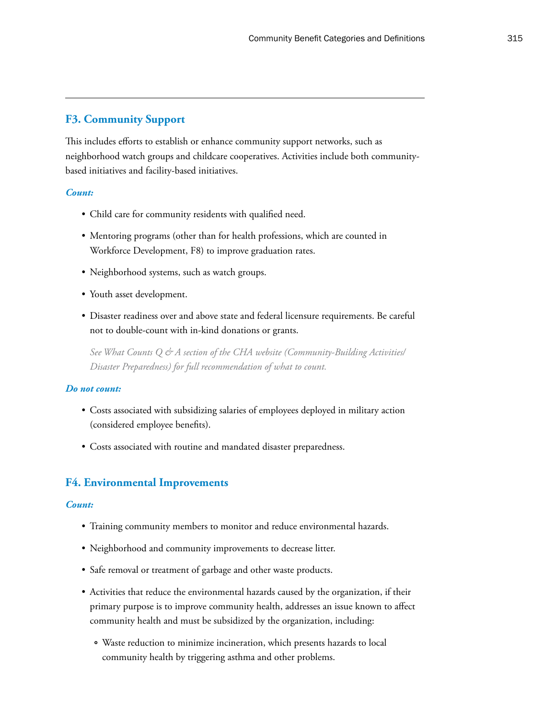## **F3. Community Support**

This includes efforts to establish or enhance community support networks, such as neighborhood watch groups and childcare cooperatives. Activities include both communitybased initiatives and facility-based initiatives.

#### *Count:*

- Child care for community residents with qualified need.
- Mentoring programs (other than for health professions, which are counted in Workforce Development, F8) to improve graduation rates.
- Neighborhood systems, such as watch groups.
- Youth asset development.
- Disaster readiness over and above state and federal licensure requirements. Be careful not to double-count with in-kind donations or grants.

*See What Counts Q & A section of the CHA website (Community-Building Activities/ Disaster Preparedness) for full recommendation of what to count.*

#### *Do not count:*

- Costs associated with subsidizing salaries of employees deployed in military action (considered employee benefits).
- Costs associated with routine and mandated disaster preparedness.

## **F4. Environmental Improvements**

#### *Count:*

- Training community members to monitor and reduce environmental hazards.
- Neighborhood and community improvements to decrease litter.
- Safe removal or treatment of garbage and other waste products.
- Activities that reduce the environmental hazards caused by the organization, if their primary purpose is to improve community health, addresses an issue known to affect community health and must be subsidized by the organization, including:
	- ° Waste reduction to minimize incineration, which presents hazards to local community health by triggering asthma and other problems.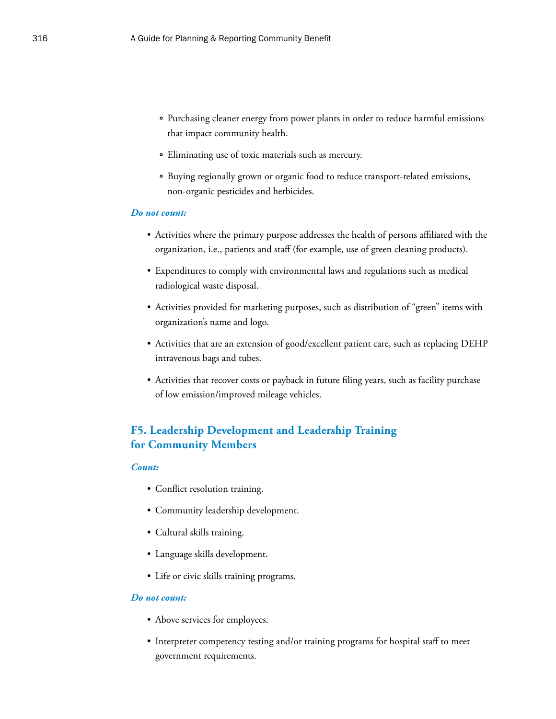- ° Purchasing cleaner energy from power plants in order to reduce harmful emissions that impact community health.
- ° Eliminating use of toxic materials such as mercury.
- ° Buying regionally grown or organic food to reduce transport-related emissions, non-organic pesticides and herbicides.

- Activities where the primary purpose addresses the health of persons affiliated with the organization, i.e., patients and staff (for example, use of green cleaning products).
- Expenditures to comply with environmental laws and regulations such as medical radiological waste disposal.
- Activities provided for marketing purposes, such as distribution of "green" items with organization's name and logo.
- Activities that are an extension of good/excellent patient care, such as replacing DEHP intravenous bags and tubes.
- Activities that recover costs or payback in future filing years, such as facility purchase of low emission/improved mileage vehicles.

## **F5. Leadership Development and Leadership Training for Community Members**

#### *Count:*

- Conflict resolution training.
- Community leadership development.
- Cultural skills training.
- Language skills development.
- Life or civic skills training programs.

- Above services for employees.
- Interpreter competency testing and/or training programs for hospital staff to meet government requirements.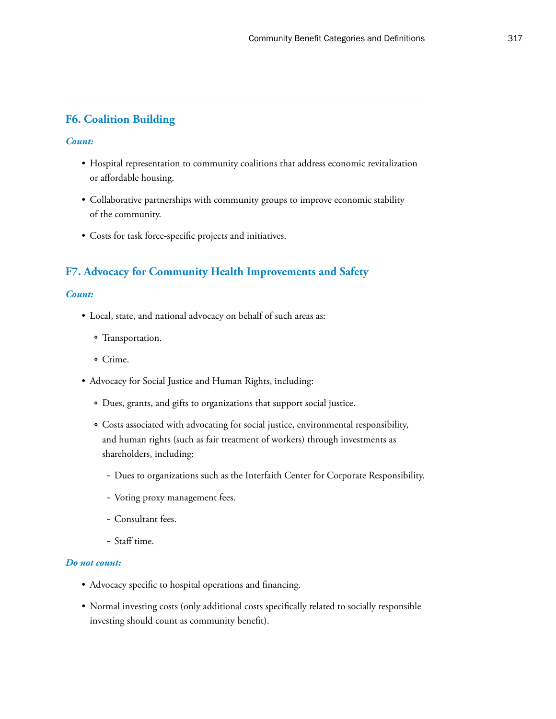## **F6. Coalition Building**

#### *Count:*

- Hospital representation to community coalitions that address economic revitalization or affordable housing.
- Collaborative partnerships with community groups to improve economic stability of the community.
- Costs for task force-specific projects and initiatives.

## **F7. Advocacy for Community Health Improvements and Safety**

#### *Count:*

- Local, state, and national advocacy on behalf of such areas as:
	- ° Transportation.
	- ° Crime.
- Advocacy for Social Justice and Human Rights, including:
	- ° Dues, grants, and gifts to organizations that support social justice.
	- ° Costs associated with advocating for social justice, environmental responsibility, and human rights (such as fair treatment of workers) through investments as shareholders, including:
		- Dues to organizations such as the Interfaith Center for Corporate Responsibility.
		- Voting proxy management fees.
		- Consultant fees.
		- Staff time.

- Advocacy specific to hospital operations and financing.
- Normal investing costs (only additional costs specifically related to socially responsible investing should count as community benefit).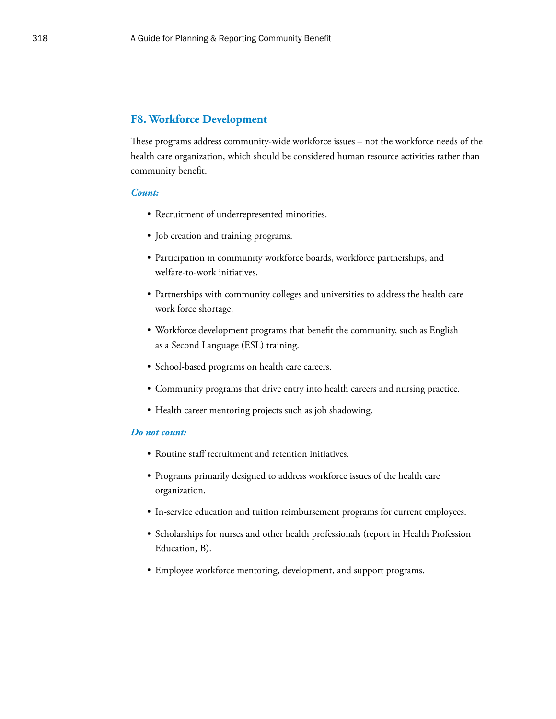## **F8. Workforce Development**

These programs address community-wide workforce issues – not the workforce needs of the health care organization, which should be considered human resource activities rather than community benefit.

#### *Count:*

- Recruitment of underrepresented minorities.
- Job creation and training programs.
- Participation in community workforce boards, workforce partnerships, and welfare-to-work initiatives.
- Partnerships with community colleges and universities to address the health care work force shortage.
- Workforce development programs that benefit the community, such as English as a Second Language (ESL) training.
- School-based programs on health care careers.
- Community programs that drive entry into health careers and nursing practice.
- Health career mentoring projects such as job shadowing.

- Routine staff recruitment and retention initiatives.
- Programs primarily designed to address workforce issues of the health care organization.
- In-service education and tuition reimbursement programs for current employees.
- Scholarships for nurses and other health professionals (report in Health Profession Education, B).
- Employee workforce mentoring, development, and support programs.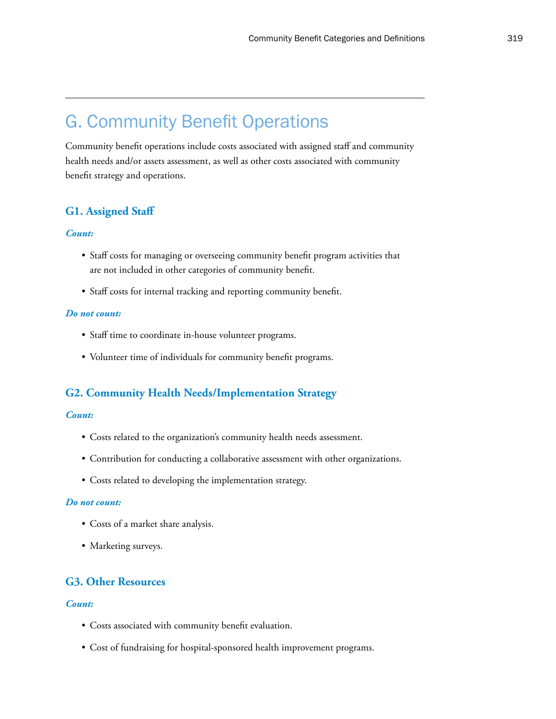## G. Community Benefit Operations

Community benefit operations include costs associated with assigned staff and community health needs and/or assets assessment, as well as other costs associated with community benefit strategy and operations.

## **G1. Assigned Staff**

#### *Count:*

- Staff costs for managing or overseeing community benefit program activities that are not included in other categories of community benefit.
- Staff costs for internal tracking and reporting community benefit.

#### *Do not count:*

- Staff time to coordinate in-house volunteer programs.
- Volunteer time of individuals for community benefit programs.

## **G2. Community Health Needs/Implementation Strategy**

#### *Count:*

- Costs related to the organization's community health needs assessment.
- Contribution for conducting a collaborative assessment with other organizations.
- Costs related to developing the implementation strategy.

#### *Do not count:*

- Costs of a market share analysis.
- Marketing surveys.

## **G3. Other Resources**

#### *Count:*

- Costs associated with community benefit evaluation.
- Cost of fundraising for hospital-sponsored health improvement programs.